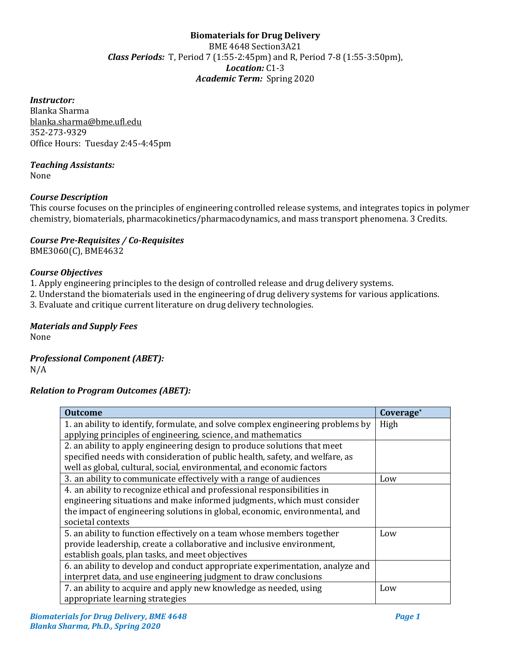# **Biomaterials for Drug Delivery**  BME 4648 Section3A21 *Class Periods:* T, Period 7 (1:55-2:45pm) and R, Period 7-8 (1:55-3:50pm), *Location:* C1-3 *Academic Term:* Spring 2020

## *Instructor:*

Blanka Sharma blanka.sharma@bme.ufl.edu 352-273-9329 Office Hours: Tuesday 2:45-4:45pm

# *Teaching Assistants:*

None

# *Course Description*

This course focuses on the principles of engineering controlled release systems, and integrates topics in polymer chemistry, biomaterials, pharmacokinetics/pharmacodynamics, and mass transport phenomena. 3 Credits.

## *Course Pre-Requisites / Co-Requisites* BME3060(C), BME4632

## *Course Objectives*

1. Apply engineering principles to the design of controlled release and drug delivery systems.

2. Understand the biomaterials used in the engineering of drug delivery systems for various applications.

3. Evaluate and critique current literature on drug delivery technologies.

# *Materials and Supply Fees*

None

# *Professional Component (ABET):*

N/A

# *Relation to Program Outcomes (ABET):*

| <b>Outcome</b>                                                                  | Coverage* |
|---------------------------------------------------------------------------------|-----------|
| 1. an ability to identify, formulate, and solve complex engineering problems by | High      |
| applying principles of engineering, science, and mathematics                    |           |
| 2. an ability to apply engineering design to produce solutions that meet        |           |
| specified needs with consideration of public health, safety, and welfare, as    |           |
| well as global, cultural, social, environmental, and economic factors           |           |
| 3. an ability to communicate effectively with a range of audiences              | Low       |
| 4. an ability to recognize ethical and professional responsibilities in         |           |
| engineering situations and make informed judgments, which must consider         |           |
| the impact of engineering solutions in global, economic, environmental, and     |           |
| societal contexts                                                               |           |
| 5. an ability to function effectively on a team whose members together          | Low       |
| provide leadership, create a collaborative and inclusive environment,           |           |
| establish goals, plan tasks, and meet objectives                                |           |
| 6. an ability to develop and conduct appropriate experimentation, analyze and   |           |
| interpret data, and use engineering judgment to draw conclusions                |           |
| 7. an ability to acquire and apply new knowledge as needed, using               | Low       |
| appropriate learning strategies                                                 |           |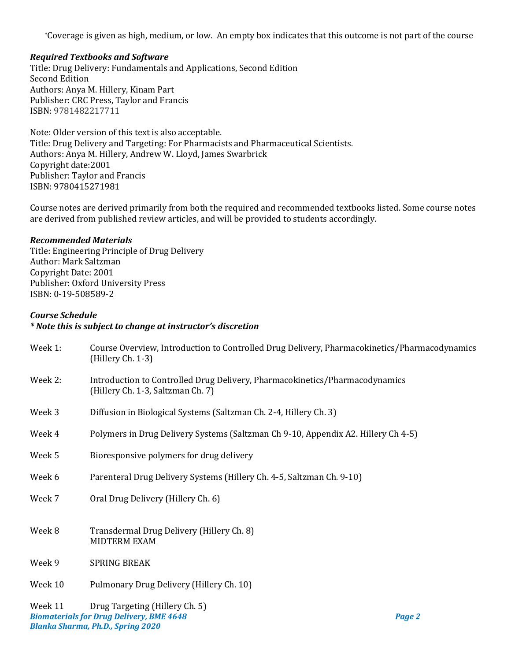\*Coverage is given as high, medium, or low. An empty box indicates that this outcome is not part of the course

## *Required Textbooks and Software*

Title: Drug Delivery: Fundamentals and Applications, Second Edition Second Edition Authors: Anya M. Hillery, Kinam Part Publisher: CRC Press, Taylor and Francis ISBN: 9781482217711

Note: Older version of this text is also acceptable. Title: Drug Delivery and Targeting: For Pharmacists and Pharmaceutical Scientists. Authors: Anya M. Hillery, Andrew W. Lloyd, James Swarbrick Copyright date:2001 Publisher: Taylor and Francis ISBN: 9780415271981

Course notes are derived primarily from both the required and recommended textbooks listed. Some course notes are derived from published review articles, and will be provided to students accordingly.

## *Recommended Materials*

Title: Engineering Principle of Drug Delivery Author: Mark Saltzman Copyright Date: 2001 Publisher: Oxford University Press ISBN: 0-19-508589-2

## *Course Schedule*

#### *\* Note this is subject to change at instructor's discretion*

| Week 1:                     | Course Overview, Introduction to Controlled Drug Delivery, Pharmacokinetics/Pharmacodynamics<br>(Hillery Ch. 1-3) |
|-----------------------------|-------------------------------------------------------------------------------------------------------------------|
| Week 2:                     | Introduction to Controlled Drug Delivery, Pharmacokinetics/Pharmacodynamics<br>(Hillery Ch. 1-3, Saltzman Ch. 7)  |
| Week 3                      | Diffusion in Biological Systems (Saltzman Ch. 2-4, Hillery Ch. 3)                                                 |
| Week 4                      | Polymers in Drug Delivery Systems (Saltzman Ch 9-10, Appendix A2. Hillery Ch 4-5)                                 |
| Week 5                      | Bioresponsive polymers for drug delivery                                                                          |
| Week 6                      | Parenteral Drug Delivery Systems (Hillery Ch. 4-5, Saltzman Ch. 9-10)                                             |
| Week 7                      | Oral Drug Delivery (Hillery Ch. 6)                                                                                |
| Week 8                      | Transdermal Drug Delivery (Hillery Ch. 8)<br>MIDTERM EXAM                                                         |
| Week 9                      | <b>SPRING BREAK</b>                                                                                               |
| Week 10                     | Pulmonary Drug Delivery (Hillery Ch. 10)                                                                          |
| $M_{\odot}$ <sub>2</sub> 11 | Drug Targoting (Hillory Ch. 5)                                                                                    |

*Biomaterials for Drug Delivery, BME 4648 Page 2 Blanka Sharma, Ph.D., Spring 2020* Week 11 Drug Targeting (Hillery Ch. 5)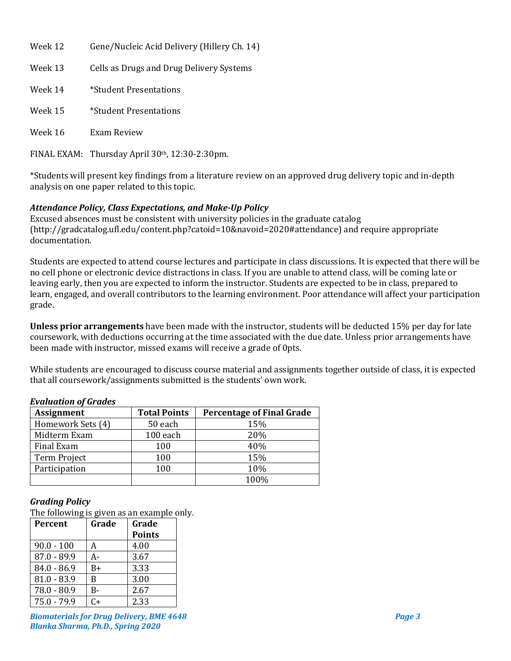| Week 12     | Gene/Nucleic Acid Delivery (Hillery Ch. 14)     |
|-------------|-------------------------------------------------|
| Week 13     | Cells as Drugs and Drug Delivery Systems        |
| Week 14     | *Student Presentations                          |
| Week 15     | *Student Presentations                          |
| Week 16     | Exam Review                                     |
| FINAL EXAM: | Thursday April 30 <sup>th</sup> , 12:30-2:30pm. |

\*Students will present key findings from a literature review on an approved drug delivery topic and in-depth analysis on one paper related to this topic.

# *Attendance Policy, Class Expectations, and Make-Up Policy*

Excused absences must be consistent with university policies in the graduate catalog (http://gradcatalog.ufl.edu/content.php?catoid=10&navoid=2020#attendance) and require appropriate documentation.

Students are expected to attend course lectures and participate in class discussions. It is expected that there will be no cell phone or electronic device distractions in class. If you are unable to attend class, will be coming late or leaving early, then you are expected to inform the instructor. Students are expected to be in class, prepared to learn, engaged, and overall contributors to the learning environment. Poor attendance will affect your participation grade.

**Unless prior arrangements** have been made with the instructor, students will be deducted 15% per day for late coursework, with deductions occurring at the time associated with the due date. Unless prior arrangements have been made with instructor, missed exams will receive a grade of 0pts.

While students are encouraged to discuss course material and assignments together outside of class, it is expected that all coursework/assignments submitted is the students' own work.

| <b>Evaluation of Grades</b> |
|-----------------------------|
|                             |

| <b>Assignment</b> | <b>Total Points</b> | <b>Percentage of Final Grade</b> |
|-------------------|---------------------|----------------------------------|
| Homework Sets (4) | 50 each             | 15%                              |
| Midterm Exam      | 100 each            | 20%                              |
| Final Exam        | 100                 | 40%                              |
| Term Project      | 100                 | 15%                              |
| Participation     | 100                 | 10%                              |
|                   |                     | 100%                             |

# *Grading Policy*

The following is given as an example only.

| <b>Percent</b> | Grade | Grade         |
|----------------|-------|---------------|
|                |       | <b>Points</b> |
| $90.0 - 100$   | А     | 4.00          |
| $87.0 - 89.9$  | А-    | 3.67          |
| $84.0 - 86.9$  | B+    | 3.33          |
| $81.0 - 83.9$  | B     | 3.00          |
| $78.0 - 80.9$  | B-    | 2.67          |
| $75.0 - 79.9$  | C+    | 2.33          |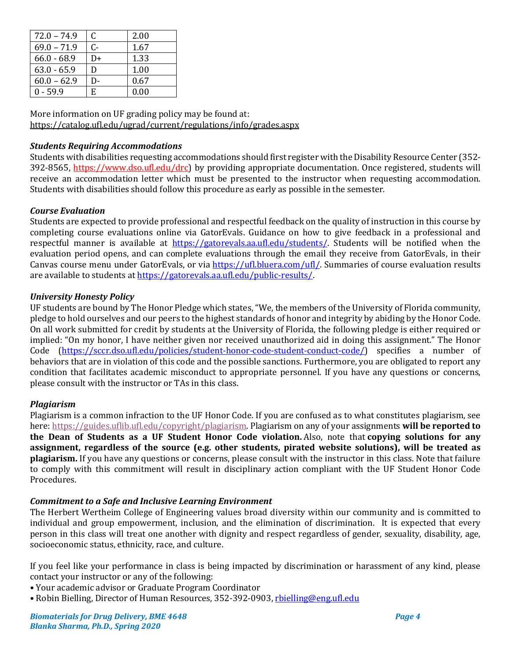| $72.0 - 74.9$ | C     | 2.00 |
|---------------|-------|------|
| $69.0 - 71.9$ | $C -$ | 1.67 |
| $66.0 - 68.9$ | D+    | 1.33 |
| $63.0 - 65.9$ | D     | 1.00 |
| $60.0 - 62.9$ | D-    | 0.67 |
| $0 - 59.9$    | E     | 0.00 |

More information on UF grading policy may be found at: <https://catalog.ufl.edu/ugrad/current/regulations/info/grades.aspx>

# *Students Requiring Accommodations*

Students with disabilities requesting accommodations should first register with the Disability Resource Center (352- 392-8565, https://www.dso.ufl.edu/drc) by providing appropriate documentation. Once registered, students will receive an accommodation letter which must be presented to the instructor when requesting accommodation. Students with disabilities should follow this procedure as early as possible in the semester.

# *Course Evaluation*

Students are expected to provide professional and respectful feedback on the quality of instruction in this course by completing course evaluations online via GatorEvals. Guidance on how to give feedback in a professional and respectful manner is available at [https://gatorevals.aa.ufl.edu/students/.](https://gatorevals.aa.ufl.edu/students/) Students will be notified when the evaluation period opens, and can complete evaluations through the email they receive from GatorEvals, in their Canvas course menu under GatorEvals, or via [https://ufl.bluera.com/ufl/.](https://ufl.bluera.com/ufl/) Summaries of course evaluation results are available to students a[t https://gatorevals.aa.ufl.edu/public-results/.](https://gatorevals.aa.ufl.edu/public-results/)

# *University Honesty Policy*

UF students are bound by The Honor Pledge which states, "We, the members of the University of Florida community, pledge to hold ourselves and our peers to the highest standards of honor and integrity by abiding by the Honor Code. On all work submitted for credit by students at the University of Florida, the following pledge is either required or implied: "On my honor, I have neither given nor received unauthorized aid in doing this assignment." The Honor Code [\(https://sccr.dso.ufl.edu/policies/student-honor-code-student-conduct-code/\)](https://sccr.dso.ufl.edu/policies/student-honor-code-student-conduct-code/) specifies a number of behaviors that are in violation of this code and the possible sanctions. Furthermore, you are obligated to report any condition that facilitates academic misconduct to appropriate personnel. If you have any questions or concerns, please consult with the instructor or TAs in this class.

# *Plagiarism*

Plagiarism is a common infraction to the UF Honor Code. If you are confused as to what constitutes plagiarism, see here: [https://guides.uflib.ufl.edu/copyright/plagiarism.](https://guides.uflib.ufl.edu/copyright/plagiarism) Plagiarism on any of your assignments **will be reported to the Dean of Students as a UF Student Honor Code violation.** Also, note that **copying solutions for any assignment, regardless of the source (e.g. other students, pirated website solutions), will be treated as plagiarism.** If you have any questions or concerns, please consult with the instructor in this class. Note that failure to comply with this commitment will result in disciplinary action compliant with the UF Student Honor Code Procedures.

## *Commitment to a Safe and Inclusive Learning Environment*

The Herbert Wertheim College of Engineering values broad diversity within our community and is committed to individual and group empowerment, inclusion, and the elimination of discrimination. It is expected that every person in this class will treat one another with dignity and respect regardless of gender, sexuality, disability, age, socioeconomic status, ethnicity, race, and culture.

If you feel like your performance in class is being impacted by discrimination or harassment of any kind, please contact your instructor or any of the following:

- Your academic advisor or Graduate Program Coordinator
- Robin Bielling, Director of Human Resources, 352-392-0903, [rbielling@eng.ufl.edu](mailto:rbielling@eng.ufl.edu)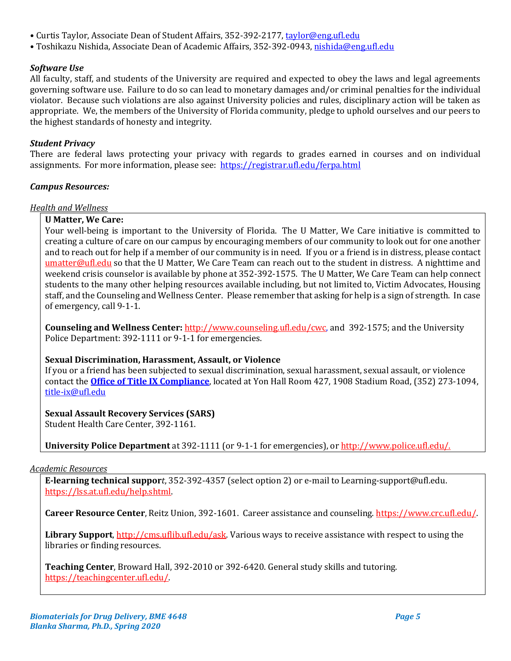- Curtis Taylor, Associate Dean of Student Affairs, 352-392-2177[, taylor@eng.ufl.edu](mailto:taylor@eng.ufl.edu)
- Toshikazu Nishida, Associate Dean of Academic Affairs, 352-392-0943[, nishida@eng.ufl.edu](mailto:nishida@eng.ufl.edu)

# *Software Use*

All faculty, staff, and students of the University are required and expected to obey the laws and legal agreements governing software use. Failure to do so can lead to monetary damages and/or criminal penalties for the individual violator. Because such violations are also against University policies and rules, disciplinary action will be taken as appropriate. We, the members of the University of Florida community, pledge to uphold ourselves and our peers to the highest standards of honesty and integrity.

# *Student Privacy*

There are federal laws protecting your privacy with regards to grades earned in courses and on individual assignments. For more information, please see: <https://registrar.ufl.edu/ferpa.html>

## *Campus Resources:*

## *Health and Wellness*

# **U Matter, We Care:**

Your well-being is important to the University of Florida. The U Matter, We Care initiative is committed to creating a culture of care on our campus by encouraging members of our community to look out for one another and to reach out for help if a member of our community is in need. If you or a friend is in distress, please contact [umatter@ufl.edu](mailto:umatter@ufl.edu) so that the U Matter, We Care Team can reach out to the student in distress. A nighttime and weekend crisis counselor is available by phone at 352-392-1575. The U Matter, We Care Team can help connect students to the many other helping resources available including, but not limited to, Victim Advocates, Housing staff, and the Counseling and Wellness Center. Please remember that asking for help is a sign of strength. In case of emergency, call 9-1-1.

**Counseling and Wellness Center:** [http://www.counseling.ufl.edu/cwc,](http://www.counseling.ufl.edu/cwc) and 392-1575; and the University Police Department: 392-1111 or 9-1-1 for emergencies.

# **Sexual Discrimination, Harassment, Assault, or Violence**

If you or a friend has been subjected to sexual discrimination, sexual harassment, sexual assault, or violence contact the **[Office of Title IX Compliance](https://titleix.ufl.edu/)**, located at Yon Hall Room 427, 1908 Stadium Road, (352) 273-1094, [title-ix@ufl.edu](mailto:title-ix@ufl.edu)

# **Sexual Assault Recovery Services (SARS)**

Student Health Care Center, 392-1161.

**University Police Department** at 392-1111 (or 9-1-1 for emergencies), o[r http://www.police.ufl.edu/.](http://www.police.ufl.edu/)

## *Academic Resources*

**E-learning technical suppor***t*, 352-392-4357 (select option 2) or e-mail to Learning-support@ufl.edu. [https://lss.at.ufl.edu/help.shtml.](https://lss.at.ufl.edu/help.shtml)

**Career Resource Center**, Reitz Union, 392-1601. Career assistance and counseling[. https://www.crc.ufl.edu/.](https://www.crc.ufl.edu/)

**Library Support**[, http://cms.uflib.ufl.edu/ask.](http://cms.uflib.ufl.edu/ask) Various ways to receive assistance with respect to using the libraries or finding resources.

**Teaching Center**, Broward Hall, 392-2010 or 392-6420. General study skills and tutoring. [https://teachingcenter.ufl.edu/.](https://teachingcenter.ufl.edu/)